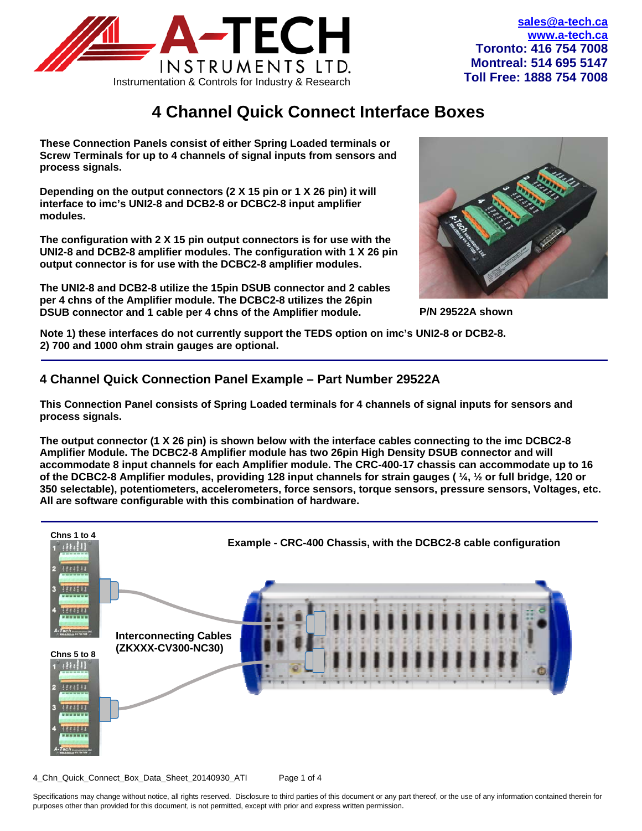

# **4 Channel Quick Connect Interface Boxes**

**These Connection Panels consist of either Spring Loaded terminals or Screw Terminals for up to 4 channels of signal inputs from sensors and process signals.** 

**Depending on the output connectors (2 X 15 pin or 1 X 26 pin) it will interface to imc's UNI2-8 and DCB2-8 or DCBC2-8 input amplifier modules.** 

**The configuration with 2 X 15 pin output connectors is for use with the UNI2-8 and DCB2-8 amplifier modules. The configuration with 1 X 26 pin output connector is for use with the DCBC2-8 amplifier modules.** 

**The UNI2-8 and DCB2-8 utilize the 15pin DSUB connector and 2 cables per 4 chns of the Amplifier module. The DCBC2-8 utilizes the 26pin DSUB connector and 1 cable per 4 chns of the Amplifier module.** 



**P/N 29522A shown** 

**Note 1) these interfaces do not currently support the TEDS option on imc's UNI2-8 or DCB2-8. 2) 700 and 1000 ohm strain gauges are optional.** 

## **4 Channel Quick Connection Panel Example – Part Number 29522A**

**This Connection Panel consists of Spring Loaded terminals for 4 channels of signal inputs for sensors and process signals.** 

**The output connector (1 X 26 pin) is shown below with the interface cables connecting to the imc DCBC2-8 Amplifier Module. The DCBC2-8 Amplifier module has two 26pin High Density DSUB connector and will accommodate 8 input channels for each Amplifier module. The CRC-400-17 chassis can accommodate up to 16 of the DCBC2-8 Amplifier modules, providing 128 input channels for strain gauges ( ¼, ½ or full bridge, 120 or 350 selectable), potentiometers, accelerometers, force sensors, torque sensors, pressure sensors, Voltages, etc. All are software configurable with this combination of hardware.** 



4\_Chn\_Quick\_Connect\_Box\_Data\_Sheet\_20140930\_ATI Page 1 of 4

Specifications may change without notice, all rights reserved. Disclosure to third parties of this document or any part thereof, or the use of any information contained therein for purposes other than provided for this document, is not permitted, except with prior and express written permission.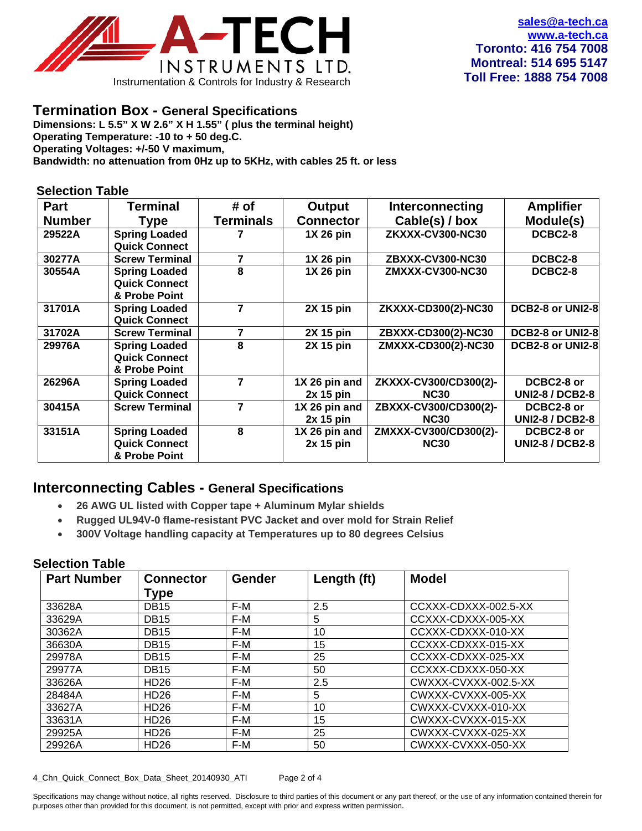

## **Termination Box - General Specifications**

**Dimensions: L 5.5" X W 2.6" X H 1.55" ( plus the terminal height) Operating Temperature: -10 to + 50 deg.C. Operating Voltages: +/-50 V maximum, Bandwidth: no attenuation from 0Hz up to 5KHz, with cables 25 ft. or less** 

#### **Selection Table**

| <b>Part</b>   | <b>Terminal</b>                                               | # of             | Output                       | <b>Interconnecting</b>               | <b>Amplifier</b>                     |
|---------------|---------------------------------------------------------------|------------------|------------------------------|--------------------------------------|--------------------------------------|
| <b>Number</b> | Type                                                          | <b>Terminals</b> | <b>Connector</b>             | Cable(s) / box                       | Module(s)                            |
| 29522A        | <b>Spring Loaded</b><br><b>Quick Connect</b>                  |                  | 1X 26 pin                    | ZKXXX-CV300-NC30                     | DCBC2-8                              |
| 30277A        | <b>Screw Terminal</b>                                         | 7                | 1X 26 pin                    | ZBXXX-CV300-NC30                     | DCBC2-8                              |
| 30554A        | <b>Spring Loaded</b><br><b>Quick Connect</b><br>& Probe Point | 8                | 1X 26 pin                    | ZMXXX-CV300-NC30                     | DCBC2-8                              |
| 31701A        | <b>Spring Loaded</b><br><b>Quick Connect</b>                  | 7                | 2X 15 pin                    | ZKXXX-CD300(2)-NC30                  | DCB2-8 or UNI2-8                     |
| 31702A        | <b>Screw Terminal</b>                                         | 7                | 2X 15 pin                    | ZBXXX-CD300(2)-NC30                  | DCB2-8 or UNI2-8                     |
| 29976A        | <b>Spring Loaded</b><br><b>Quick Connect</b><br>& Probe Point | 8                | <b>2X 15 pin</b>             | ZMXXX-CD300(2)-NC30                  | DCB2-8 or UNI2-8                     |
| 26296A        | <b>Spring Loaded</b>                                          |                  | 1X 26 pin and                | ZKXXX-CV300/CD300(2)-                | DCBC2-8 or                           |
|               | <b>Quick Connect</b>                                          |                  | $2x$ 15 pin                  | <b>NC30</b>                          | <b>UNI2-8 / DCB2-8</b>               |
| 30415A        | <b>Screw Terminal</b>                                         | 7                | 1X 26 pin and<br>$2x$ 15 pin | ZBXXX-CV300/CD300(2)-<br><b>NC30</b> | DCBC2-8 or<br><b>UNI2-8 / DCB2-8</b> |
| 33151A        | <b>Spring Loaded</b><br><b>Quick Connect</b><br>& Probe Point | 8                | 1X 26 pin and<br>$2x$ 15 pin | ZMXXX-CV300/CD300(2)-<br><b>NC30</b> | DCBC2-8 or<br><b>UNI2-8 / DCB2-8</b> |

# **Interconnecting Cables - General Specifications**

- **26 AWG UL listed with Copper tape + Aluminum Mylar shields**
- **Rugged UL94V-0 flame-resistant PVC Jacket and over mold for Strain Relief**
- **300V Voltage handling capacity at Temperatures up to 80 degrees Celsius**

#### **Selection Table**

| <b>Part Number</b> | <b>Connector</b> | <b>Gender</b> | Length (ft) | <b>Model</b>         |
|--------------------|------------------|---------------|-------------|----------------------|
|                    | Type             |               |             |                      |
| 33628A             | <b>DB15</b>      | F-M           | 2.5         | CCXXX-CDXXX-002.5-XX |
| 33629A             | <b>DB15</b>      | F-M           | 5           | CCXXX-CDXXX-005-XX   |
| 30362A             | <b>DB15</b>      | F-M           | 10          | CCXXX-CDXXX-010-XX   |
| 36630A             | <b>DB15</b>      | F-M           | 15          | CCXXX-CDXXX-015-XX   |
| 29978A             | <b>DB15</b>      | F-M           | 25          | CCXXX-CDXXX-025-XX   |
| 29977A             | <b>DB15</b>      | F-M           | 50          | CCXXX-CDXXX-050-XX   |
| 33626A             | HD <sub>26</sub> | F-M           | 2.5         | CWXXX-CVXXX-002.5-XX |
| 28484A             | HD <sub>26</sub> | F-M           | 5           | CWXXX-CVXXX-005-XX   |
| 33627A             | HD <sub>26</sub> | F-M           | 10          | CWXXX-CVXXX-010-XX   |
| 33631A             | HD <sub>26</sub> | F-M           | 15          | CWXXX-CVXXX-015-XX   |
| 29925A             | HD <sub>26</sub> | F-M           | 25          | CWXXX-CVXXX-025-XX   |
| 29926A             | HD <sub>26</sub> | F-M           | 50          | CWXXX-CVXXX-050-XX   |

4\_Chn\_Quick\_Connect\_Box\_Data\_Sheet\_20140930\_ATI Page 2 of 4

Specifications may change without notice, all rights reserved. Disclosure to third parties of this document or any part thereof, or the use of any information contained therein for purposes other than provided for this document, is not permitted, except with prior and express written permission.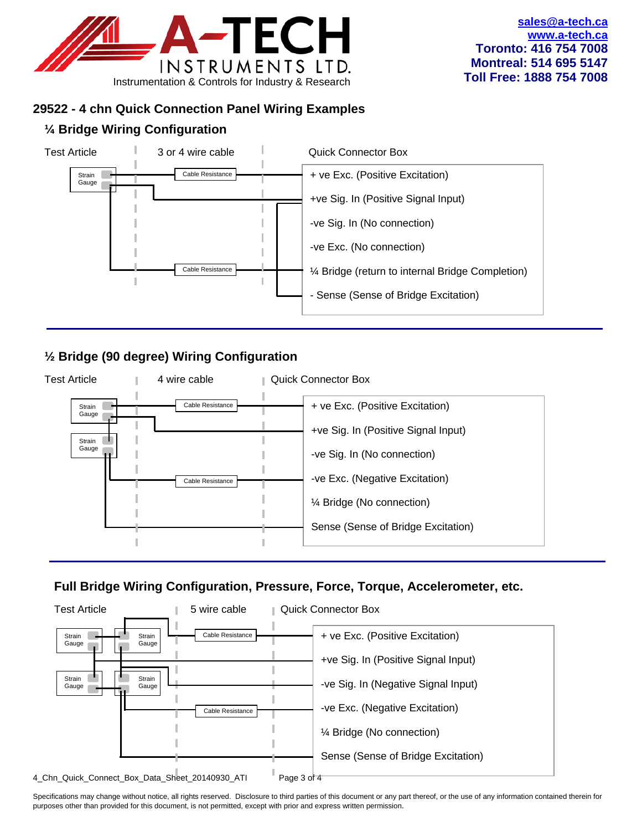

# **29522 - 4 chn Quick Connection Panel Wiring Examples**

# **¼ Bridge Wiring Configuration**



# **½ Bridge (90 degree) Wiring Configuration**



# **Full Bridge Wiring Configuration, Pressure, Force, Torque, Accelerometer, etc.**



Specifications may change without notice, all rights reserved. Disclosure to third parties of this document or any part thereof, or the use of any information contained therein for purposes other than provided for this document, is not permitted, except with prior and express written permission.